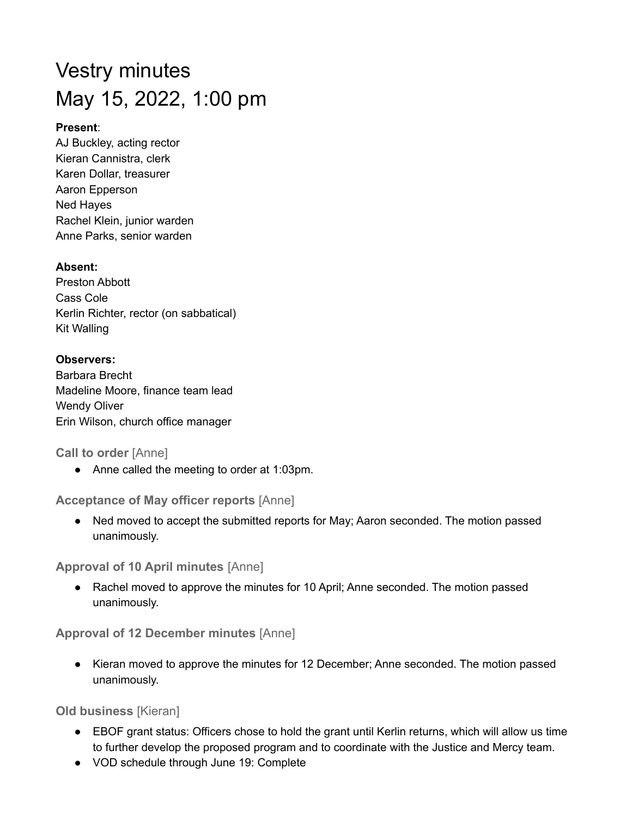# Vestry minutes May 15, 2022, 1:00 pm

## **Present**:

AJ Buckley, acting rector Kieran Cannistra, clerk Karen Dollar, treasurer Aaron Epperson Ned Hayes Rachel Klein, junior warden Anne Parks, senior warden

## **Absent:**

Preston Abbott Cass Cole Kerlin Richter, rector (on sabbatical) Kit Walling

## **Observers:** Barbara Brecht Madeline Moore, finance team lead Wendy Oliver Erin Wilson, church office manager

**Call to order** [Anne]

● Anne called the meeting to order at 1:03pm.

**Acceptance of May officer reports** [Anne]

• Ned moved to accept the submitted reports for May; Aaron seconded. The motion passed unanimously.

**Approval of 10 April minutes** [Anne]

● Rachel moved to approve the minutes for 10 April; Anne seconded. The motion passed unanimously.

**Approval of 12 December minutes** [Anne]

● Kieran moved to approve the minutes for 12 December; Anne seconded. The motion passed unanimously.

**Old business** [Kieran]

- EBOF grant status: Officers chose to hold the grant until Kerlin returns, which will allow us time to further develop the proposed program and to coordinate with the Justice and Mercy team.
- VOD schedule through June 19: Complete